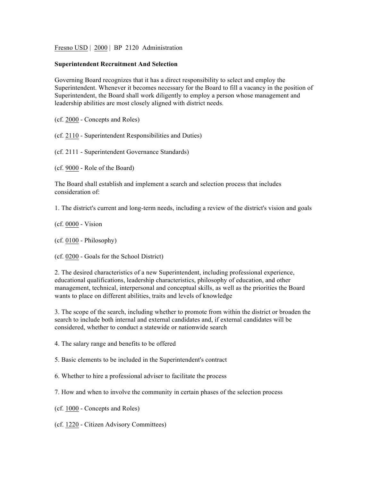Fresno USD | 2000 | BP 2120 Administration

## **Superintendent Recruitment And Selection**

Governing Board recognizes that it has a direct responsibility to select and employ the Superintendent. Whenever it becomes necessary for the Board to fill a vacancy in the position of Superintendent, the Board shall work diligently to employ a person whose management and leadership abilities are most closely aligned with district needs.

(cf. 2000 - Concepts and Roles)

(cf. 2110 - Superintendent Responsibilities and Duties)

(cf. 2111 - Superintendent Governance Standards)

(cf. 9000 - Role of the Board)

The Board shall establish and implement a search and selection process that includes consideration of:

1. The district's current and long-term needs, including a review of the district's vision and goals

(cf. 0000 - Vision

(cf. 0100 - Philosophy)

(cf. 0200 - Goals for the School District)

2. The desired characteristics of a new Superintendent, including professional experience, educational qualifications, leadership characteristics, philosophy of education, and other management, technical, interpersonal and conceptual skills, as well as the priorities the Board wants to place on different abilities, traits and levels of knowledge

3. The scope of the search, including whether to promote from within the district or broaden the search to include both internal and external candidates and, if external candidates will be considered, whether to conduct a statewide or nationwide search

4. The salary range and benefits to be offered

5. Basic elements to be included in the Superintendent's contract

6. Whether to hire a professional adviser to facilitate the process

7. How and when to involve the community in certain phases of the selection process

(cf. 1000 - Concepts and Roles)

(cf. 1220 - Citizen Advisory Committees)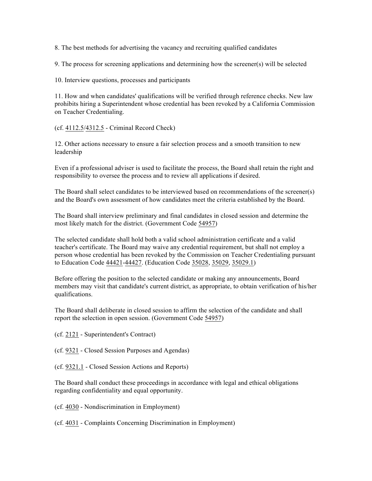8. The best methods for advertising the vacancy and recruiting qualified candidates

9. The process for screening applications and determining how the screener(s) will be selected

10. Interview questions, processes and participants

11. How and when candidates' qualifications will be verified through reference checks. New law prohibits hiring a Superintendent whose credential has been revoked by a California Commission on Teacher Credentialing.

(cf. 4112.5/4312.5 - Criminal Record Check)

12. Other actions necessary to ensure a fair selection process and a smooth transition to new leadership

Even if a professional adviser is used to facilitate the process, the Board shall retain the right and responsibility to oversee the process and to review all applications if desired.

The Board shall select candidates to be interviewed based on recommendations of the screener(s) and the Board's own assessment of how candidates meet the criteria established by the Board.

The Board shall interview preliminary and final candidates in closed session and determine the most likely match for the district. (Government Code 54957)

The selected candidate shall hold both a valid school administration certificate and a valid teacher's certificate. The Board may waive any credential requirement, but shall not employ a person whose credential has been revoked by the Commission on Teacher Credentialing pursuant to Education Code 44421-44427. (Education Code 35028, 35029, 35029.1)

Before offering the position to the selected candidate or making any announcements, Board members may visit that candidate's current district, as appropriate, to obtain verification of his/her qualifications.

The Board shall deliberate in closed session to affirm the selection of the candidate and shall report the selection in open session. (Government Code 54957)

(cf. 2121 - Superintendent's Contract)

(cf. 9321 - Closed Session Purposes and Agendas)

(cf. 9321.1 - Closed Session Actions and Reports)

The Board shall conduct these proceedings in accordance with legal and ethical obligations regarding confidentiality and equal opportunity.

(cf. 4030 - Nondiscrimination in Employment)

(cf. 4031 - Complaints Concerning Discrimination in Employment)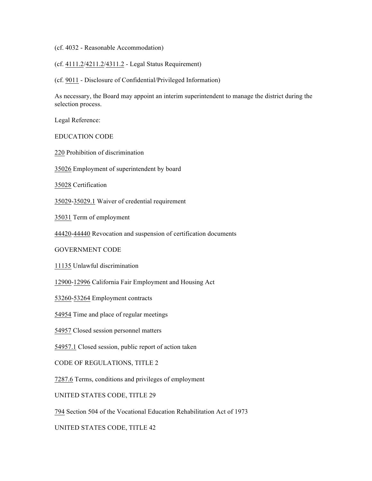(cf. 4032 - Reasonable Accommodation)

(cf. 4111.2/4211.2/4311.2 - Legal Status Requirement)

(cf. 9011 - Disclosure of Confidential/Privileged Information)

As necessary, the Board may appoint an interim superintendent to manage the district during the selection process.

Legal Reference:

EDUCATION CODE

220 Prohibition of discrimination

35026 Employment of superintendent by board

35028 Certification

35029-35029.1 Waiver of credential requirement

35031 Term of employment

44420-44440 Revocation and suspension of certification documents

GOVERNMENT CODE

11135 Unlawful discrimination

12900-12996 California Fair Employment and Housing Act

53260-53264 Employment contracts

54954 Time and place of regular meetings

54957 Closed session personnel matters

54957.1 Closed session, public report of action taken

CODE OF REGULATIONS, TITLE 2

7287.6 Terms, conditions and privileges of employment

UNITED STATES CODE, TITLE 29

794 Section 504 of the Vocational Education Rehabilitation Act of 1973

UNITED STATES CODE, TITLE 42